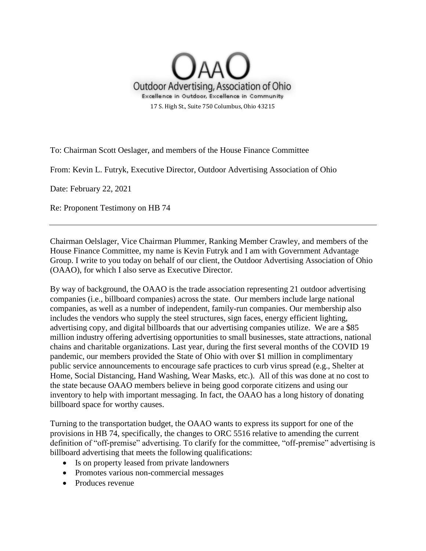

To: Chairman Scott Oeslager, and members of the House Finance Committee

From: Kevin L. Futryk, Executive Director, Outdoor Advertising Association of Ohio

Date: February 22, 2021

Re: Proponent Testimony on HB 74

Chairman Oelslager, Vice Chairman Plummer, Ranking Member Crawley, and members of the House Finance Committee, my name is Kevin Futryk and I am with Government Advantage Group. I write to you today on behalf of our client, the Outdoor Advertising Association of Ohio (OAAO), for which I also serve as Executive Director.

By way of background, the OAAO is the trade association representing 21 outdoor advertising companies (i.e., billboard companies) across the state. Our members include large national companies, as well as a number of independent, family-run companies. Our membership also includes the vendors who supply the steel structures, sign faces, energy efficient lighting, advertising copy, and digital billboards that our advertising companies utilize. We are a \$85 million industry offering advertising opportunities to small businesses, state attractions, national chains and charitable organizations. Last year, during the first several months of the COVID 19 pandemic, our members provided the State of Ohio with over \$1 million in complimentary public service announcements to encourage safe practices to curb virus spread (e.g., Shelter at Home, Social Distancing, Hand Washing, Wear Masks, etc.). All of this was done at no cost to the state because OAAO members believe in being good corporate citizens and using our inventory to help with important messaging. In fact, the OAAO has a long history of donating billboard space for worthy causes.

Turning to the transportation budget, the OAAO wants to express its support for one of the provisions in HB 74, specifically, the changes to ORC 5516 relative to amending the current definition of "off-premise" advertising. To clarify for the committee, "off-premise" advertising is billboard advertising that meets the following qualifications:

- Is on property leased from private landowners
- Promotes various non-commercial messages
- Produces revenue